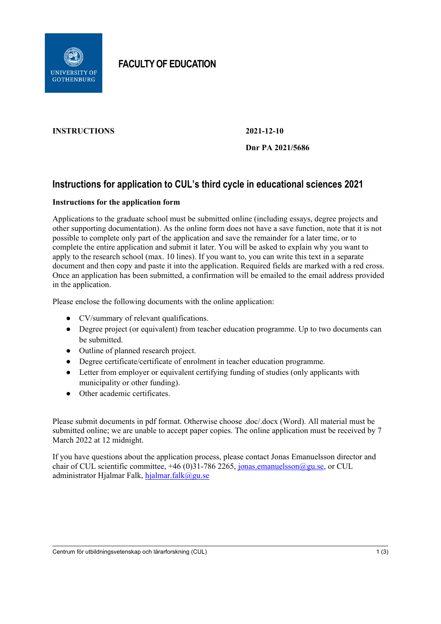

**FACULTY OF EDUCATION**

# **INSTRUCTIONS 2021-12-10**

# **Dnr PA 2021/5686**

# **Instructions for application to CUL's third cycle in educational sciences 2021**

## **Instructions for the application form**

Applications to the graduate school must be submitted online (including essays, degree projects and other supporting documentation). As the online form does not have a save function, note that it is not possible to complete only part of the application and save the remainder for a later time, or to complete the entire application and submit it later. You will be asked to explain why you want to apply to the research school (max. 10 lines). If you want to, you can write this text in a separate document and then copy and paste it into the application. Required fields are marked with a red cross. Once an application has been submitted, a confirmation will be emailed to the email address provided in the application.

Please enclose the following documents with the online application:

- CV/summary of relevant qualifications.
- Degree project (or equivalent) from teacher education programme. Up to two documents can be submitted.
- Outline of planned research project.
- Degree certificate/certificate of enrolment in teacher education programme.
- Letter from employer or equivalent certifying funding of studies (only applicants with municipality or other funding).
- Other academic certificates.

Please submit documents in pdf format. Otherwise choose .doc/.docx (Word). All material must be submitted online; we are unable to accept paper copies. The online application must be received by 7 March 2022 at 12 midnight.

If you have questions about the application process, please contact Jonas Emanuelsson director and chair of CUL scientific committee,  $+46$  (0)31-786 2265, [jonas.emanuelsson@gu.se,](mailto:jonas.emanuelsson@gu.se) or CUL administrator Hjalmar Falk, [hjalmar.falk@gu.se](mailto:hjalmar.falk@gu.se)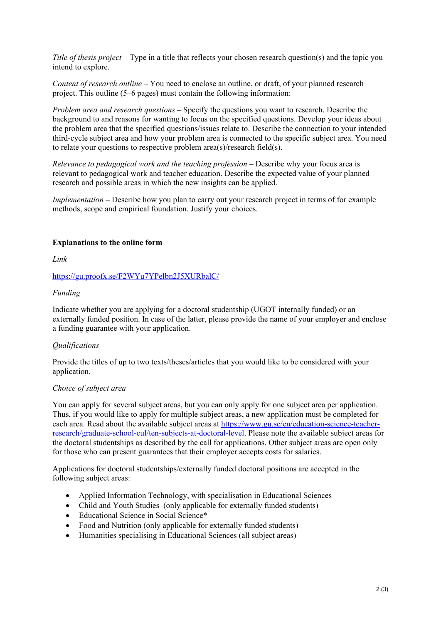*Title of thesis project* – Type in a title that reflects your chosen research question(s) and the topic you intend to explore.

*Content of research outline* – You need to enclose an outline, or draft, of your planned research project. This outline (5–6 pages) must contain the following information:

*Problem area and research questions –* Specify the questions you want to research. Describe the background to and reasons for wanting to focus on the specified questions. Develop your ideas about the problem area that the specified questions/issues relate to. Describe the connection to your intended third-cycle subject area and how your problem area is connected to the specific subject area. You need to relate your questions to respective problem area(s)/research field(s).

*Relevance to pedagogical work and the teaching profession –* Describe why your focus area is relevant to pedagogical work and teacher education. Describe the expected value of your planned research and possible areas in which the new insights can be applied.

*Implementation –* Describe how you plan to carry out your research project in terms of for example methods, scope and empirical foundation. Justify your choices.

### **Explanations to the online form**

*Link*

<https://gu.proofx.se/F2WYu7YPelbn2J5XURbalC/>

### *Funding*

Indicate whether you are applying for a doctoral studentship (UGOT internally funded) or an externally funded position. In case of the latter, please provide the name of your employer and enclose a funding guarantee with your application.

#### *Qualifications*

Provide the titles of up to two texts/theses/articles that you would like to be considered with your application.

#### *Choice of subject area*

You can apply for several subject areas, but you can only apply for one subject area per application. Thus, if you would like to apply for multiple subject areas, a new application must be completed for each area. Read about the available subject areas at [https://www.gu.se/en/education-science-teacher](https://www.gu.se/en/education-science-teacher-research/graduate-school-cul/ten-subjects-at-doctoral-level)[research/graduate-school-cul/ten-subjects-at-doctoral-level.](https://www.gu.se/en/education-science-teacher-research/graduate-school-cul/ten-subjects-at-doctoral-level) Please note the available subject areas for the doctoral studentships as described by the call for applications. Other subject areas are open only for those who can present guarantees that their employer accepts costs for salaries.

Applications for doctoral studentships/externally funded doctoral positions are accepted in the following subject areas:

- Applied Information Technology, with specialisation in Educational Sciences
- Child and Youth Studies (only applicable for externally funded students)
- Educational Science in Social Science\*
- Food and Nutrition (only applicable for externally funded students)
- Humanities specialising in Educational Sciences (all subject areas)